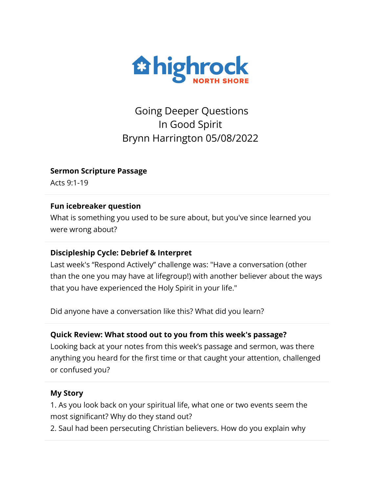

Going Deeper Questions In Good Spirit Brynn Harrington 05/08/2022

**Sermon Scripture Passage**

Acts 9:1-19

#### **Fun icebreaker question**

What is something you used to be sure about, but you've since learned you were wrong about?

### **Discipleship Cycle: Debrief & Interpret**

Last week's "Respond Actively" challenge was: "Have a conversation (other than the one you may have at lifegroup!) with another believer about the ways that you have experienced the Holy Spirit in your life."

Did anyone have a conversation like this? What did you learn?

### **Quick Review: What stood out to you from this week's passage?**

Looking back at your notes from this week's passage and sermon, was there anything you heard for the first time or that caught your attention, challenged or confused you?

### **My Story**

1. As you look back on your spiritual life, what one or two events seem the most significant? Why do they stand out?

2. Saul had been persecuting Christian believers. How do you explain why